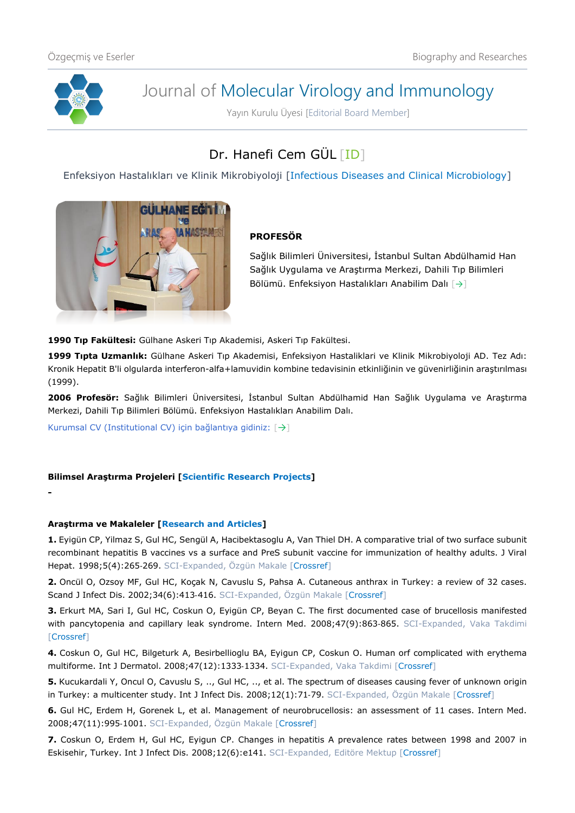

**-**

# Journal of Molecular Virology and Immunology

Yayın Kurulu Üyesi [Editorial Board Member]

# Dr. Hanefi Cem GÜL [\[ID\]](https://orcid.org/0000-0001-7648-322X)

Enfeksiyon Hastalıkları ve Klinik Mikrobiyoloji [Infectious Diseases and Clinical Microbiology]



### **PROFESÖR**

Sağlık Bilimleri Üniversitesi, İstanbul Sultan Abdülhamid Han Sağlık Uygulama ve Araştırma Merkezi, Dahili Tıp Bilimleri Bölümü. Enfeksiyon Hastalıkları Anabilim Dalı [[→](http://tip.sbu.edu.tr/Akademik/EnfeksiyonHastaliklariAnabilimDali)]

**1990 Tıp Fakültesi:** Gülhane Askeri Tıp Akademisi, Askeri Tıp Fakültesi.

**1999 Tıpta Uzmanlık:** Gülhane Askeri Tıp Akademisi, Enfeksiyon Hastaliklari ve Klinik Mikrobiyoloji AD. Tez Adı: Kronik Hepatit B'li olgularda interferon-alfa+lamuvidin kombine tedavisinin etkinliğinin ve güvenirliğinin araştırılması (1999).

**2006 Profesör:** Sağlık Bilimleri Üniversitesi, İstanbul Sultan Abdülhamid Han Sağlık Uygulama ve Araştırma Merkezi, Dahili Tıp Bilimleri Bölümü. Enfeksiyon Hastalıkları Anabilim Dalı.

Kurumsal CV (Institutional CV) için bağlantıya gidiniz: [[→](https://dosya.sbu.edu.tr/CV/HANEFICEMGUL_5708.pdf)]

#### **Bilimsel Araştırma Projeleri [Scientific Research Projects]**

#### **Araştırma ve Makaleler [Research and Articles]**

**1.** Eyigün CP, Yilmaz S, Gul HC, Sengül A, Hacibektasoglu A, Van Thiel DH. A comparative trial of two surface subunit recombinant hepatitis B vaccines vs a surface and PreS subunit vaccine for immunization of healthy adults. J Viral Hepat. 1998;5(4):265-269. SCI-Expanded, Özgün Makale [[Crossref\]](https://doi.org/10.1046/j.1365-2893.1998.00106.x)

**2.** Oncül O, Ozsoy MF, Gul HC, Koçak N, Cavuslu S, Pahsa A. Cutaneous anthrax in Turkey: a review of 32 cases. Scand J Infect Dis. 2002;34(6):413-416. SCI-Expanded, Özgün Makale [[Crossref\]](https://doi.org/10.1080/00365540110080610)

**3.** Erkurt MA, Sari I, Gul HC, Coskun O, Eyigün CP, Beyan C. The first documented case of brucellosis manifested with pancytopenia and capillary leak syndrome. Intern Med. 2008;47(9):863-865. SCI-Expanded, Vaka Takdimi [\[Crossref\]](https://doi.org/10.2169/internalmedicine.47.0834)

**4.** Coskun O, Gul HC, Bilgeturk A, Besirbellioglu BA, Eyigun CP, Coskun O. Human orf complicated with erythema multiforme. Int J Dermatol. 2008;47(12):1333‐1334. SCI-Expanded, Vaka Takdimi [\[Crossref\]](https://doi.org/10.1111/j.1365-4632.2008.03845.x)

**5.** Kucukardali Y, Oncul O, Cavuslu S, .., Gul HC, .., et al. The spectrum of diseases causing fever of unknown origin in Turkey: a multicenter study. Int J Infect Dis. 2008;12(1):71-79. SCI-Expanded, Özgün Makale [[Crossref\]](https://doi.org/10.1016/j.ijid.2007.04.013)

**6.** Gul HC, Erdem H, Gorenek L, et al. Management of neurobrucellosis: an assessment of 11 cases. Intern Med. 2008;47(11):995‐1001. SCI-Expanded, Özgün Makale [[Crossref\]](https://doi.org/10.2169/internalmedicine.47.0866)

**7.** Coskun O, Erdem H, Gul HC, Eyigun CP. Changes in hepatitis A prevalence rates between 1998 and 2007 in Eskisehir, Turkey. Int J Infect Dis. 2008;12(6):e141. SCI-Expanded, Editöre Mektup [\[Crossref\]](https://doi.org/10.1016/j.ijid.2008.02.005)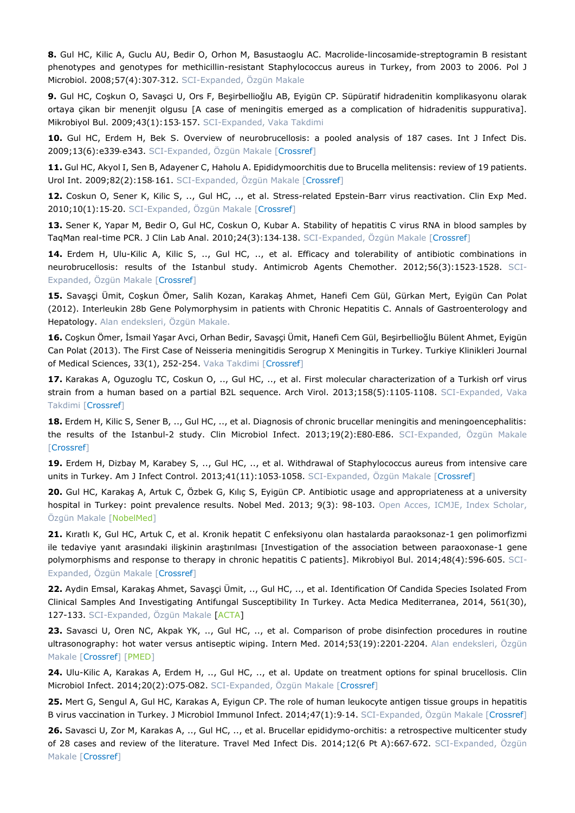**8.** Gul HC, Kilic A, Guclu AU, Bedir O, Orhon M, Basustaoglu AC. Macrolide-lincosamide-streptogramin B resistant phenotypes and genotypes for methicillin-resistant Staphylococcus aureus in Turkey, from 2003 to 2006. Pol J Microbiol. 2008;57(4):307‐312. SCI-Expanded, Özgün Makale

**9.** Gul HC, Coşkun O, Savaşci U, Ors F, Beşirbellioğlu AB, Eyigün CP. Süpüratif hidradenitin komplikasyonu olarak ortaya çikan bir menenjit olgusu [A case of meningitis emerged as a complication of hidradenitis suppurativa]. Mikrobiyol Bul. 2009;43(1):153‐157. SCI-Expanded, Vaka Takdimi

**10.** Gul HC, Erdem H, Bek S. Overview of neurobrucellosis: a pooled analysis of 187 cases. Int J Infect Dis. 2009;13(6):e339‐e343. SCI-Expanded, Özgün Makale [[Crossref\]](https://doi.org/10.1016/j.ijid.2009.02.015)

**11.** Gul HC, Akyol I, Sen B, Adayener C, Haholu A. Epididymoorchitis due to Brucella melitensis: review of 19 patients. Urol Int. 2009;82(2):158-161. SCI-Expanded, Özgün Makale [[Crossref\]](https://doi.org/10.1159/000200791)

**12.** Coskun O, Sener K, Kilic S, .., Gul HC, .., et al. Stress-related Epstein-Barr virus reactivation. Clin Exp Med. 2010;10(1):15-20. SCI-Expanded, Özgün Makale [[Crossref\]](https://doi.org/10.1007/s10238-009-0063-z)

**13.** Sener K, Yapar M, Bedir O, Gul HC, Coskun O, Kubar A. Stability of hepatitis C virus RNA in blood samples by TaqMan real-time PCR. J Clin Lab Anal. 2010;24(3):134-138. SCI-Expanded, Özgün Makale [[Crossref\]](https://doi.org/10.1002/jcla.20354)

**14.** Erdem H, Ulu-Kilic A, Kilic S, .., Gul HC, .., et al. Efficacy and tolerability of antibiotic combinations in neurobrucellosis: results of the Istanbul study. Antimicrob Agents Chemother. 2012;56(3):1523‐1528. SCI-Expanded, Özgün Makale [[Crossref\]](https://doi.org/10.1128/AAC.05974-11)

**15.** Savaşçi Ümit, Coşkun Ömer, Salih Kozan, Karakaş Ahmet, Hanefi Cem Gül, Gürkan Mert, Eyigün Can Polat (2012). Interleukin 28b Gene Polymorphysim in patients with Chronic Hepatitis C. Annals of Gastroenterology and Hepatology. Alan endeksleri, Özgün Makale.

**16.** Coşkun Ömer, İsmail Yaşar Avci, Orhan Bedir, Savaşçi Ümit, Hanefi Cem Gül, Beşirbellioğlu Bülent Ahmet, Eyigün Can Polat (2013). The First Case of Neisseria meningitidis Serogrup X Meningitis in Turkey. Turkiye Klinikleri Journal of Medical Sciences, 33(1), 252-254. Vaka Takdimi [\[Crossref\]](https://doi.org/10.5336/medsci.2011-24093)

**17.** Karakas A, Oguzoglu TC, Coskun O, .., Gul HC, .., et al. First molecular characterization of a Turkish orf virus strain from a human based on a partial B2L sequence. Arch Virol. 2013;158(5):1105-1108. SCI-Expanded, Vaka Takdimi [\[Crossref\]](https://doi.org/10.1007/s00705-012-1575-5)

**18.** Erdem H, Kilic S, Sener B, .., Gul HC, .., et al. Diagnosis of chronic brucellar meningitis and meningoencephalitis: the results of the Istanbul-2 study. Clin Microbiol Infect. 2013;19(2):E80-E86. SCI-Expanded, Özgün Makale [\[Crossref\]](https://doi.org/10.1111/1469-0691.12092)

**19.** Erdem H, Dizbay M, Karabey S, .., Gul HC, .., et al. Withdrawal of Staphylococcus aureus from intensive care units in Turkey. Am J Infect Control. 2013;41(11):1053-1058. SCI-Expanded, Özgün Makale [[Crossref\]](https://doi.org/10.1016/j.ajic.2013.01.041)

**20.** Gul HC, Karakaş A, Artuk C, Özbek G, Kılıç S, Eyigün CP. Antibiotic usage and appropriateness at a university hospital in Turkey: point prevalence results. Nobel Med. 2013; 9(3): 98-103. Open Acces, ICMJE, Index Scholar, Özgün Makale [[NobelMed\]](https://www.nobelmedicus.com/Content/1/27/98-103.pdf)

**21.** Kıratlı K, Gul HC, Artuk C, et al. Kronik hepatit C enfeksiyonu olan hastalarda paraoksonaz-1 gen polimorfizmi ile tedaviye yanıt arasındaki ilişkinin araştırılması [Investigation of the association between paraoxonase-1 gene polymorphisms and response to therapy in chronic hepatitis C patients]. Mikrobiyol Bul. 2014;48(4):596-605. SCI-Expanded, Özgün Makale [[Crossref\]](https://doi.org/10.5578/mb.8202)

**22.** Aydin Emsal, Karakaş Ahmet, Savaşçi Ümit, .., Gul HC, .., et al. Identification Of Candida Species Isolated From Clinical Samples And Investigating Antifungal Susceptibility In Turkey. Acta Medica Mediterranea, 2014, 561(30), 127-133. SCI-Expanded, Özgün Makale [\[ACTA\]](https://www.actamedicamediterranea.com/archive/2014/medica-3/identification-of-candida-species-isolated-from-clinical-samples-and-investigating-antifungal-susceptibility-inturkey/pdf)

**23.** Savasci U, Oren NC, Akpak YK, .., Gul HC, .., et al. Comparison of probe disinfection procedures in routine ultrasonography: hot water versus antiseptic wiping. Intern Med. 2014;53(19):2201‐2204. Alan endeksleri, Özgün Makale [\[Crossref\]](https://doi.org/10.2169/internalmedicine.53.2256) [\[PMED\]](https://pubmed.ncbi.nlm.nih.gov/25274230/)

**24.** Ulu-Kilic A, Karakas A, Erdem H, .., Gul HC, .., et al. Update on treatment options for spinal brucellosis. Clin Microbiol Infect. 2014;20(2):O75-O82. SCI-Expanded, Özgün Makale [[Crossref\]](https://doi.org/10.1111/1469-0691.12351)

**25.** Mert G, Sengul A, Gul HC, Karakas A, Eyigun CP. The role of human leukocyte antigen tissue groups in hepatitis B virus vaccination in Turkey. J Microbiol Immunol Infect. 2014;47(1):9-14. SCI-Expanded, Özgün Makale [[Crossref\]](https://doi.org/10.1016/j.jmii.2013.01.004)

**26.** Savasci U, Zor M, Karakas A, .., Gul HC, .., et al. Brucellar epididymo-orchitis: a retrospective multicenter study of 28 cases and review of the literature. Travel Med Infect Dis. 2014;12(6 Pt A):667-672. SCI-Expanded, Özgün Makale [\[Crossref\]](https://doi.org/10.1016/j.tmaid.2014.10.005)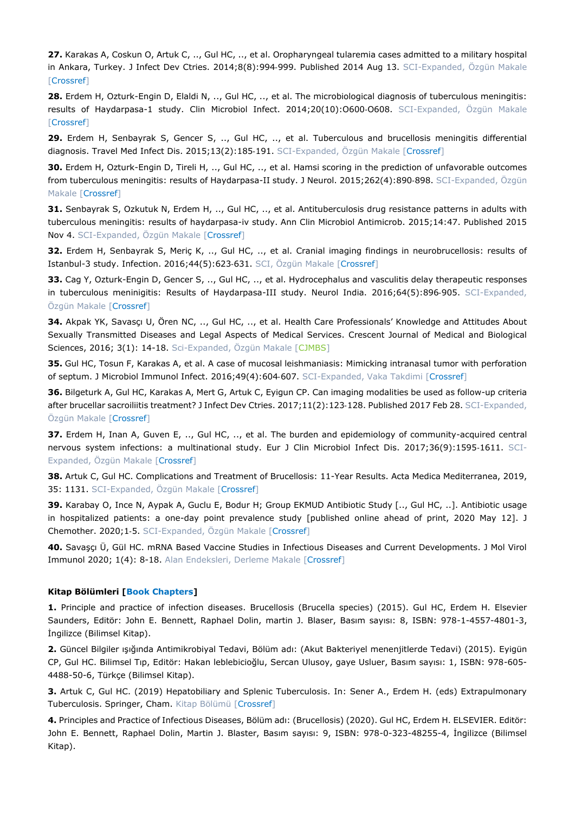**27.** Karakas A, Coskun O, Artuk C, .., Gul HC, .., et al. Oropharyngeal tularemia cases admitted to a military hospital in Ankara, Turkey. J Infect Dev Ctries. 2014;8(8):994-999. Published 2014 Aug 13. SCI-Expanded, Özgün Makale [\[Crossref\]](https://doi.org/10.3855/jidc.4332)

**28.** Erdem H, Ozturk-Engin D, Elaldi N, .., Gul HC, .., et al. The microbiological diagnosis of tuberculous meningitis: results of Haydarpasa-1 study. Clin Microbiol Infect. 2014;20(10):O600‐O608. SCI-Expanded, Özgün Makale [\[Crossref\]](https://doi.org/10.1111/1469-0691.12478)

**29.** Erdem H, Senbayrak S, Gencer S, .., Gul HC, .., et al. Tuberculous and brucellosis meningitis differential diagnosis. Travel Med Infect Dis. 2015;13(2):185-191. SCI-Expanded, Özgün Makale [[Crossref\]](https://doi.org/10.1016/j.tmaid.2015.02.008)

**30.** Erdem H, Ozturk-Engin D, Tireli H, .., Gul HC, .., et al. Hamsi scoring in the prediction of unfavorable outcomes from tuberculous meningitis: results of Haydarpasa-II study. J Neurol. 2015;262(4):890-898. SCI-Expanded, Özgün Makale [\[Crossref\]](https://doi.org/10.1007/s00415-015-7651-5)

**31.** Senbayrak S, Ozkutuk N, Erdem H, .., Gul HC, .., et al. Antituberculosis drug resistance patterns in adults with tuberculous meningitis: results of haydarpasa-iv study. Ann Clin Microbiol Antimicrob. 2015;14:47. Published 2015 Nov 4. SCI-Expanded, Özgün Makale [\[Crossref\]](https://doi.org/10.1186/s12941-015-0107-z)

**32.** Erdem H, Senbayrak S, Meriç K, .., Gul HC, .., et al. Cranial imaging findings in neurobrucellosis: results of Istanbul-3 study. Infection. 2016;44(5):623-631. SCI, Özgün Makale [\[Crossref\]](https://doi.org/10.1007/s15010-016-0901-3)

**33.** Cag Y, Ozturk-Engin D, Gencer S, .., Gul HC, .., et al. Hydrocephalus and vasculitis delay therapeutic responses in tuberculous meninigitis: Results of Haydarpasa-III study. Neurol India. 2016;64(5):896-905. SCI-Expanded, Özgün Makale [[Crossref\]](https://doi.org/10.4103/0028-3886.190258)

**34.** Akpak YK, Savasçı U, Ören NC, .., Gul HC, .., et al. Health Care Professionals' Knowledge and Attitudes About Sexually Transmitted Diseases and Legal Aspects of Medical Services. Crescent Journal of Medical and Biological Sciences, 2016; 3(1): 14-18. Sci-Expanded, Özgün Makale [\[CJMBS\]](https://www.researchgate.net/profile/Yasam_Kemal_Akpak/publication/289801513_Health_Care_Professionals)

**35.** Gul HC, Tosun F, Karakas A, et al. A case of mucosal leishmaniasis: Mimicking intranasal tumor with perforation of septum. J Microbiol Immunol Infect. 2016;49(4):604‐607. SCI-Expanded, Vaka Takdimi [\[Crossref\]](https://doi.org/10.1016/j.jmii.2013.11.007)

**36.** Bilgeturk A, Gul HC, Karakas A, Mert G, Artuk C, Eyigun CP. Can imaging modalities be used as follow-up criteria after brucellar sacroiliitis treatment? J Infect Dev Ctries. 2017;11(2):123-128. Published 2017 Feb 28. SCI-Expanded, Özgün Makale [[Crossref\]](https://doi.org/10.3855/jidc.6599)

**37.** Erdem H, Inan A, Guven E, .., Gul HC, .., et al. The burden and epidemiology of community-acquired central nervous system infections: a multinational study. Eur J Clin Microbiol Infect Dis. 2017;36(9):1595-1611. SCI-Expanded, Özgün Makale [[Crossref\]](https://doi.org/10.1007/s10096-017-2973-0)

**38.** Artuk C, Gul HC. Complications and Treatment of Brucellosis: 11-Year Results. Acta Medica Mediterranea, 2019, 35: 1131. SCI-Expanded, Özgün Makale [[Crossref\]](https://doi.org/10.1016/S0168-8278(10)61197-X)

**39.** Karabay O, Ince N, Aypak A, Guclu E, Bodur H; Group EKMUD Antibiotic Study [.., Gul HC, ..]. Antibiotic usage in hospitalized patients: a one-day point prevalence study [published online ahead of print, 2020 May 12]. J Chemother. 2020;1‐5. SCI-Expanded, Özgün Makale [\[Crossref\]](https://doi.org/10.1080/1120009X.2020.1755592)

**40.** Savaşçı Ü, Gül HC. mRNA Based Vaccine Studies in Infectious Diseases and Current Developments. J Mol Virol Immunol 2020; 1(4): 8-18. Alan Endeksleri, Derleme Makale [\[Crossref\]](https://doi.org/10.46683/jmvi.2021.19)

#### **Kitap Bölümleri [Book Chapters]**

**1.** Principle and practice of infection diseases. Brucellosis (Brucella species) (2015). Gul HC, Erdem H. Elsevier Saunders, Editör: John E. Bennett, Raphael Dolin, martin J. Blaser, Basım sayısı: 8, ISBN: 978-1-4557-4801-3, İngilizce (Bilimsel Kitap).

**2.** Güncel Bilgiler ışığında Antimikrobiyal Tedavi, Bölüm adı: (Akut Bakteriyel menenjitlerde Tedavi) (2015). Eyigün CP, Gul HC. Bilimsel Tıp, Editör: Hakan leblebicioğlu, Sercan Ulusoy, gaye Usluer, Basım sayısı: 1, ISBN: 978-605- 4488-50-6, Türkçe (Bilimsel Kitap).

**3.** Artuk C, Gul HC. (2019) Hepatobiliary and Splenic Tuberculosis. In: Sener A., Erdem H. (eds) Extrapulmonary Tuberculosis. Springer, Cham. Kitap Bölümü [\[Crossref\]](https://doi.org/10.1007/978-3-030-04744-3_4)

**4.** Principles and Practice of Infectious Diseases, Bölüm adı: (Brucellosis) (2020). Gul HC, Erdem H. ELSEVIER. Editör: John E. Bennett, Raphael Dolin, Martin J. Blaster, Basım sayısı: 9, ISBN: 978-0-323-48255-4, İngilizce (Bilimsel Kitap).